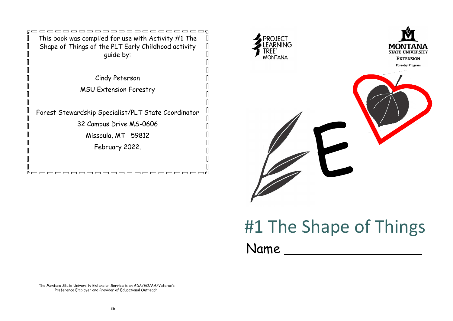

Cindy Peterson

MSU Extension Forestry

Forest Stewardship Specialist/PLT State Coordinator

32 Campus Drive MS-0606

Missoula, MT 59812

February 2022.

-----------------------

Ŀ,



## #1 The Shape of Things

Name

The Montana State University Extension Service is an ADA/EO/AA/Veteran's Preference Employer and Provider of Educational Outreach.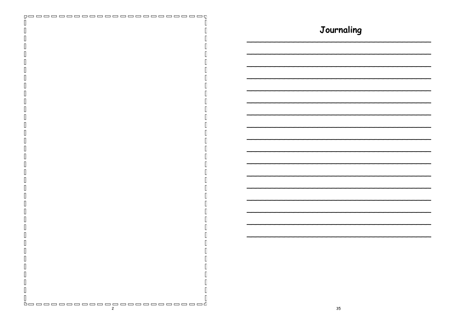| _______________________<br>ro o o<br>$\equiv$ |            |
|-----------------------------------------------|------------|
|                                               |            |
|                                               |            |
|                                               | Journaling |
|                                               |            |
|                                               |            |
|                                               |            |
|                                               |            |
|                                               |            |
|                                               |            |
|                                               |            |
|                                               |            |
|                                               |            |
|                                               |            |
|                                               |            |
|                                               |            |
|                                               |            |
|                                               |            |
|                                               |            |
|                                               |            |
|                                               |            |
|                                               |            |
|                                               |            |
|                                               |            |
|                                               |            |
|                                               |            |
|                                               |            |
|                                               |            |
|                                               |            |
|                                               |            |
|                                               |            |
|                                               |            |
|                                               |            |
|                                               |            |
|                                               |            |
|                                               |            |
|                                               |            |
|                                               |            |
|                                               |            |
|                                               |            |
|                                               |            |
|                                               |            |
|                                               |            |
|                                               |            |
|                                               |            |
|                                               |            |
|                                               |            |
|                                               |            |
|                                               |            |
| Ш                                             |            |
|                                               |            |
|                                               |            |
| I                                             |            |
| П<br>Ц                                        |            |
|                                               |            |
| Ц                                             |            |
|                                               |            |
| <u>boooooooooooooooooooooo</u> d              |            |
|                                               |            |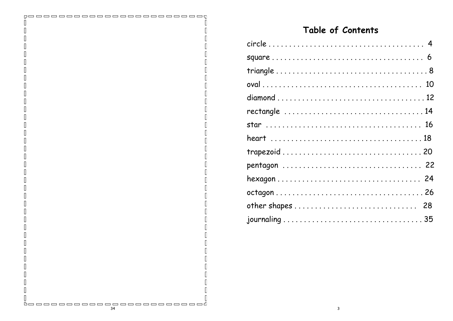## Table of Contents

 $\Box$ 

h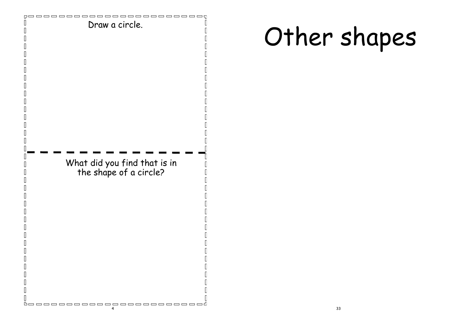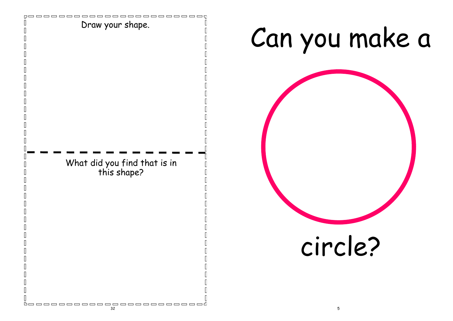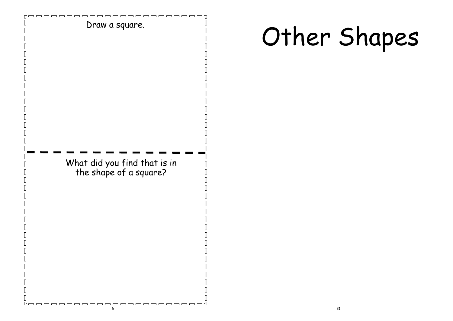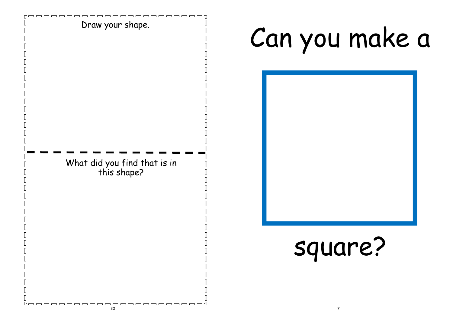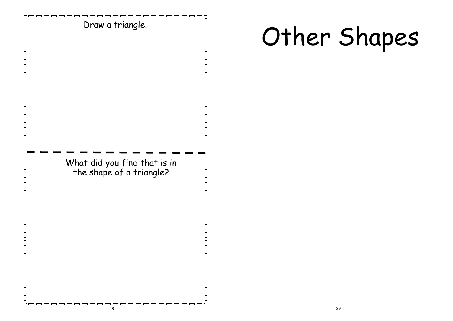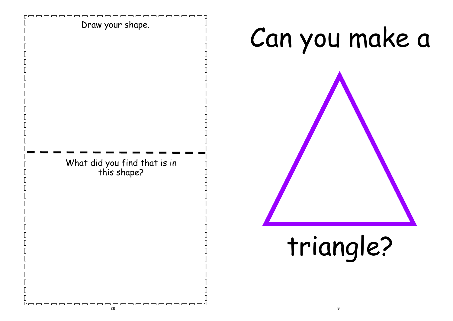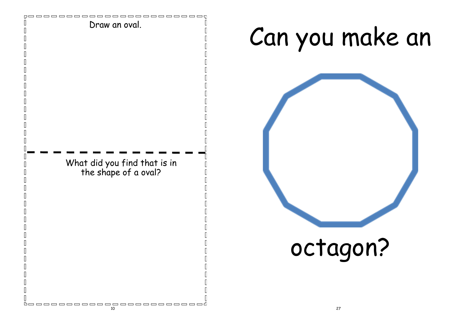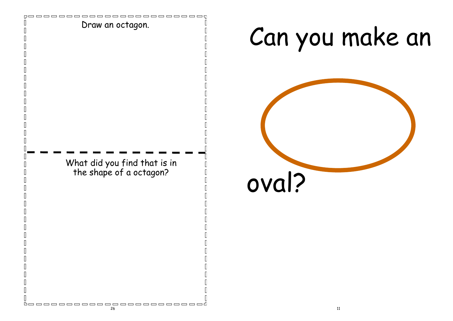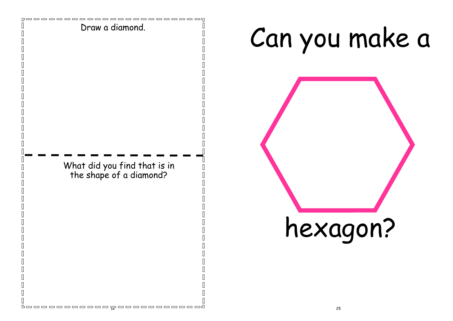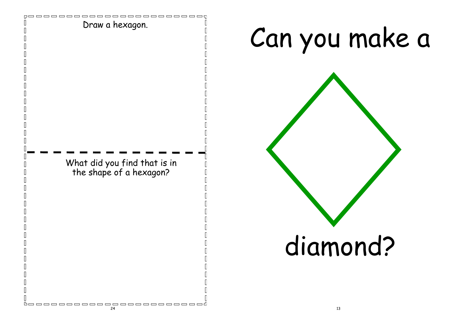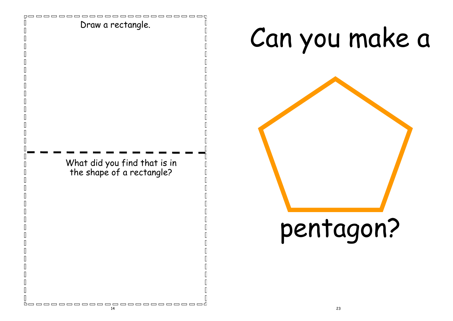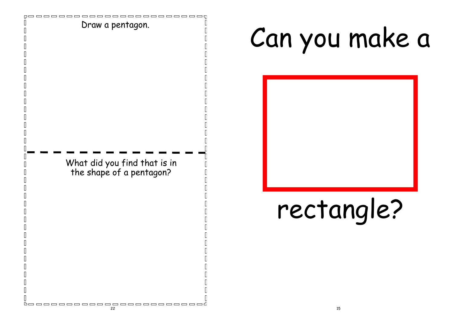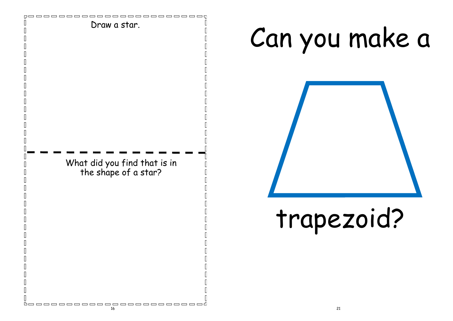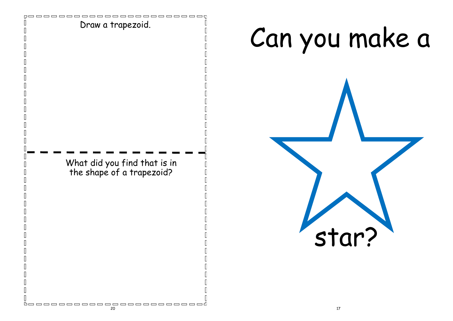